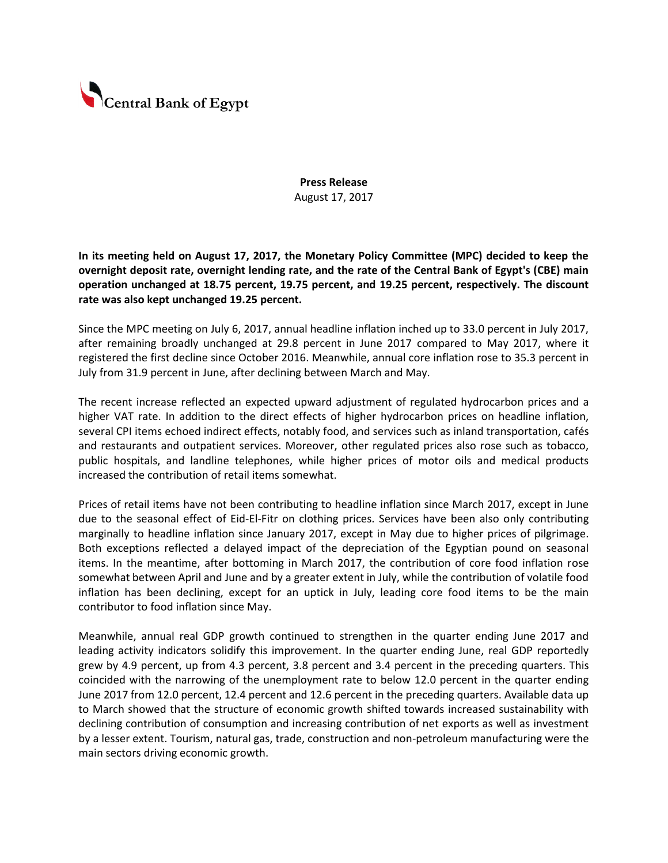

**Press Release** August 17, 2017

**In its meeting held on August 17, 2017, the Monetary Policy Committee (MPC) decided to keep the overnight deposit rate, overnight lending rate, and the rate of the Central Bank of Egypt's (CBE) main operation unchanged at 18.75 percent, 19.75 percent, and 19.25 percent, respectively. The discount rate was also kept unchanged 19.25 percent.** 

Since the MPC meeting on July 6, 2017, annual headline inflation inched up to 33.0 percent in July 2017, after remaining broadly unchanged at 29.8 percent in June 2017 compared to May 2017, where it registered the first decline since October 2016. Meanwhile, annual core inflation rose to 35.3 percent in July from 31.9 percent in June, after declining between March and May.

The recent increase reflected an expected upward adjustment of regulated hydrocarbon prices and a higher VAT rate. In addition to the direct effects of higher hydrocarbon prices on headline inflation, several CPI items echoed indirect effects, notably food, and services such as inland transportation, cafés and restaurants and outpatient services. Moreover, other regulated prices also rose such as tobacco, public hospitals, and landline telephones, while higher prices of motor oils and medical products increased the contribution of retail items somewhat.

Prices of retail items have not been contributing to headline inflation since March 2017, except in June due to the seasonal effect of Eid-El-Fitr on clothing prices. Services have been also only contributing marginally to headline inflation since January 2017, except in May due to higher prices of pilgrimage. Both exceptions reflected a delayed impact of the depreciation of the Egyptian pound on seasonal items. In the meantime, after bottoming in March 2017, the contribution of core food inflation rose somewhat between April and June and by a greater extent in July, while the contribution of volatile food inflation has been declining, except for an uptick in July, leading core food items to be the main contributor to food inflation since May.

Meanwhile, annual real GDP growth continued to strengthen in the quarter ending June 2017 and leading activity indicators solidify this improvement. In the quarter ending June, real GDP reportedly grew by 4.9 percent, up from 4.3 percent, 3.8 percent and 3.4 percent in the preceding quarters. This coincided with the narrowing of the unemployment rate to below 12.0 percent in the quarter ending June 2017 from 12.0 percent, 12.4 percent and 12.6 percent in the preceding quarters. Available data up to March showed that the structure of economic growth shifted towards increased sustainability with declining contribution of consumption and increasing contribution of net exports as well as investment by a lesser extent. Tourism, natural gas, trade, construction and non-petroleum manufacturing were the main sectors driving economic growth.